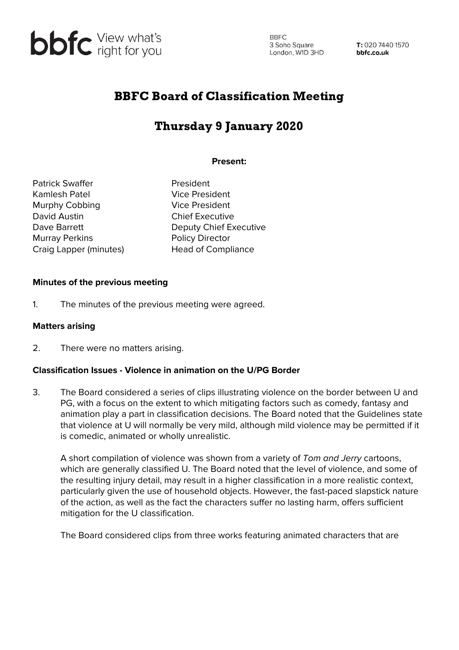

**BBFC** 3 Soho Square London, W1D 3HD

T: 020 7440 1570 bbfc.co.uk

# BBFC Board of Classification Meeting

# Thursday 9 January 2020

### **Present:**

Patrick Swaffer **President** Kamlesh Patel **Vice President** Murphy Cobbing Vice President David Austin **Chief Executive** Murray Perkins **Policy Director** Craig Lapper (minutes) Head of Compliance

Dave Barrett Deputy Chief Executive

## **Minutes of the previous meeting**

1. The minutes of the previous meeting were agreed.

#### **Matters arising**

2. There were no matters arising.

#### **Classification Issues - Violence in animation on the U/PG Border**

3. The Board considered a series of clips illustrating violence on the border between U and PG, with a focus on the extent to which mitigating factors such as comedy, fantasy and animation play a part in classification decisions. The Board noted that the Guidelines state that violence at U will normally be very mild, although mild violence may be permitted if it is comedic, animated or wholly unrealistic.

A short compilation of violence was shown from a variety of Tom and Jerry cartoons, which are generally classified U. The Board noted that the level of violence, and some of the resulting injury detail, may result in a higher classification in a more realistic context, particularly given the use of household objects. However, the fast-paced slapstick nature of the action, as well as the fact the characters suffer no lasting harm, offers sufficient mitigation for the U classification.

The Board considered clips from three works featuring animated characters that are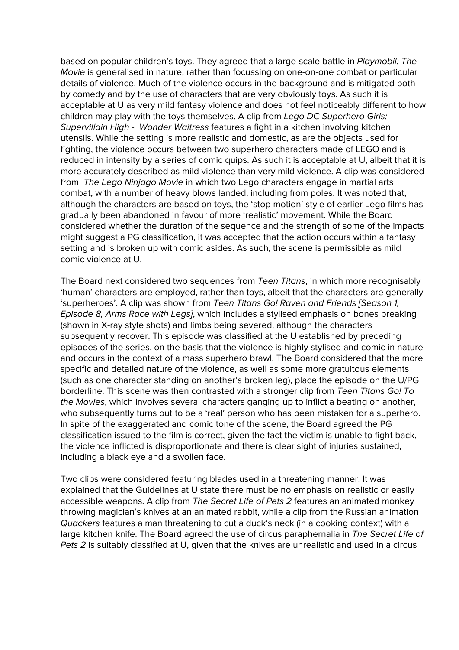based on popular children's toys. They agreed that a large-scale battle in Playmobil: The Movie is generalised in nature, rather than focussing on one-on-one combat or particular details of violence. Much of the violence occurs in the background and is mitigated both by comedy and by the use of characters that are very obviously toys. As such it is acceptable at U as very mild fantasy violence and does not feel noticeably different to how children may play with the toys themselves. A clip from Lego DC Superhero Girls: Supervillain High - Wonder Waitress features a fight in a kitchen involving kitchen utensils. While the setting is more realistic and domestic, as are the objects used for fighting, the violence occurs between two superhero characters made of LEGO and is reduced in intensity by a series of comic quips. As such it is acceptable at U, albeit that it is more accurately described as mild violence than very mild violence. A clip was considered from The Lego Ninjago Movie in which two Lego characters engage in martial arts combat, with a number of heavy blows landed, including from poles. It was noted that, although the characters are based on toys, the 'stop motion' style of earlier Lego films has gradually been abandoned in favour of more 'realistic' movement. While the Board considered whether the duration of the sequence and the strength of some of the impacts might suggest a PG classification, it was accepted that the action occurs within a fantasy setting and is broken up with comic asides. As such, the scene is permissible as mild comic violence at U.

The Board next considered two sequences from Teen Titans, in which more recognisably 'human' characters are employed, rather than toys, albeit that the characters are generally 'superheroes'. A clip was shown from Teen Titans Go! Raven and Friends [Season 1, Episode 8, Arms Race with Legs], which includes a stylised emphasis on bones breaking (shown in X-ray style shots) and limbs being severed, although the characters subsequently recover. This episode was classified at the U established by preceding episodes of the series, on the basis that the violence is highly stylised and comic in nature and occurs in the context of a mass superhero brawl. The Board considered that the more specific and detailed nature of the violence, as well as some more gratuitous elements (such as one character standing on another's broken leg), place the episode on the U/PG borderline. This scene was then contrasted with a stronger clip from Teen Titans Go! To the Movies, which involves several characters ganging up to inflict a beating on another, who subsequently turns out to be a 'real' person who has been mistaken for a superhero. In spite of the exaggerated and comic tone of the scene, the Board agreed the PG classification issued to the film is correct, given the fact the victim is unable to fight back, the violence inflicted is disproportionate and there is clear sight of injuries sustained, including a black eye and a swollen face.

Two clips were considered featuring blades used in a threatening manner. It was explained that the Guidelines at U state there must be no emphasis on realistic or easily accessible weapons. A clip from The Secret Life of Pets 2 features an animated monkey throwing magician's knives at an animated rabbit, while a clip from the Russian animation Quackers features a man threatening to cut a duck's neck (in a cooking context) with a large kitchen knife. The Board agreed the use of circus paraphernalia in The Secret Life of Pets 2 is suitably classified at U, given that the knives are unrealistic and used in a circus